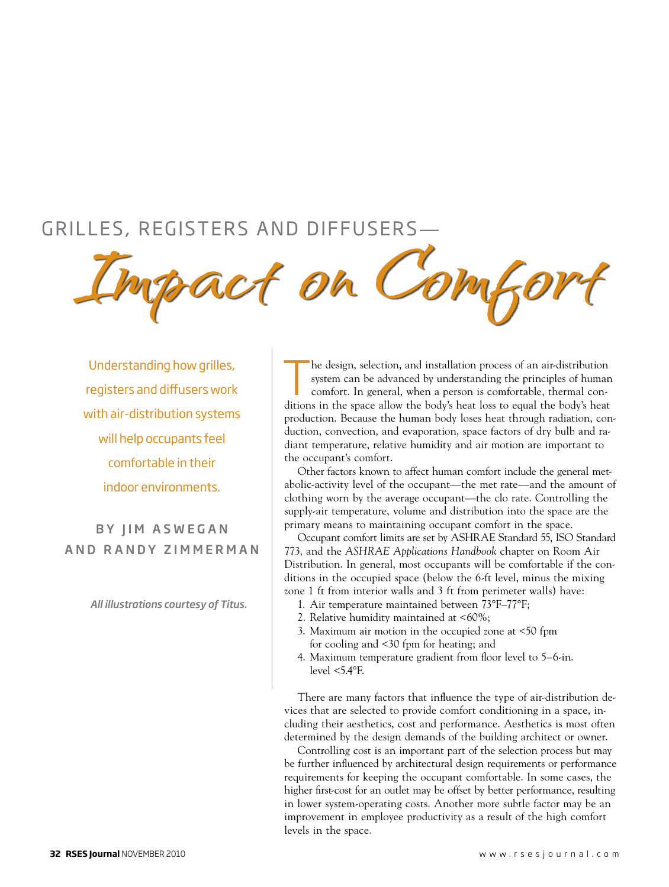# GRILLES, REGISTERS AND DIFFUSERS-

**Impact on Comfort**

Understanding how grilles, registers and diffusers work with air-distribution systems will help occupants feel comfortable in their indoor environments.

BY IIM ASWEGAN a n d R a n d y Z i m m e r m a n

*All illustrations courtesy of Titus.*

The design, selection, and installation process of an air-distribution system can be advanced by understanding the principles of human comfort. In general, when a person is comfortable, thermal conditions in the space allo system can be advanced by understanding the principles of human comfort. In general, when a person is comfortable, thermal conditions in the space allow the body's heat loss to equal the body's heat production. Because the human body loses heat through radiation, conduction, convection, and evaporation, space factors of dry bulb and radiant temperature, relative humidity and air motion are important to the occupant's comfort.

Other factors known to affect human comfort include the general metabolic-activity level of the occupant—the met rate—and the amount of clothing worn by the average occupant—the clo rate. Controlling the supply-air temperature, volume and distribution into the space are the primary means to maintaining occupant comfort in the space.

Occupant comfort limits are set by ASHRAE Standard 55, ISO Standard 773, and the *ASHRAE Applications Handbook* chapter on Room Air Distribution. In general, most occupants will be comfortable if the conditions in the occupied space (below the 6-ft level, minus the mixing zone 1 ft from interior walls and 3 ft from perimeter walls) have:

- 1. Air temperature maintained between 73°F–77°F;
- 2. Relative humidity maintained at <60%;
- 3. Maximum air motion in the occupied zone at <50 fpm for cooling and <30 fpm for heating; and
- 4. Maximum temperature gradient from floor level to 5–6-in. level <5.4°F.

There are many factors that influence the type of air-distribution devices that are selected to provide comfort conditioning in a space, including their aesthetics, cost and performance. Aesthetics is most often determined by the design demands of the building architect or owner.

Controlling cost is an important part of the selection process but may be further influenced by architectural design requirements or performance requirements for keeping the occupant comfortable. In some cases, the higher first-cost for an outlet may be offset by better performance, resulting in lower system-operating costs. Another more subtle factor may be an improvement in employee productivity as a result of the high comfort levels in the space.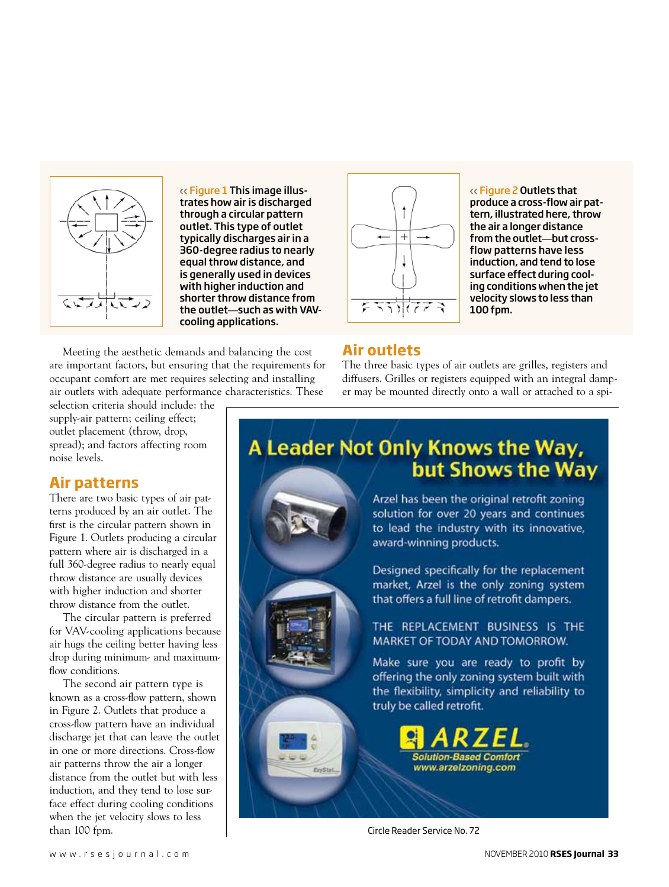

Figure 1 This image illustrates how air is discharged through a circular pattern outlet. This type of outlet typically discharges air in a 360-degree radius to nearly equal throw distance, and is generally used in devices with higher induction and shorter throw distance from the outlet—such as with VAVcooling applications.

Meeting the aesthetic demands and balancing the cost are important factors, but ensuring that the requirements for occupant comfort are met requires selecting and installing air outlets with adequate performance characteristics. These

selection criteria should include: the supply-air pattern; ceiling effect; outlet placement (throw, drop, spread); and factors affecting room noise levels.

## **Air patterns**

There are two basic types of air patterns produced by an air outlet. The first is the circular pattern shown in Figure 1. Outlets producing a circular pattern where air is discharged in a full 360-degree radius to nearly equal throw distance are usually devices with higher induction and shorter throw distance from the outlet.

The circular pattern is preferred for VAV-cooling applications because air hugs the ceiling better having less drop during minimum- and maximumflow conditions.

The second air pattern type is known as a cross-flow pattern, shown in Figure 2. Outlets that produce a cross-flow pattern have an individual discharge jet that can leave the outlet in one or more directions. Cross-flow air patterns throw the air a longer distance from the outlet but with less induction, and they tend to lose surface effect during cooling conditions when the jet velocity slows to less



Figure 2 Outlets that produce a cross-flow air pattern, illustrated here, throw the air a longer distance from the outlet—but crossflow patterns have less induction, and tend to lose surface effect during cooling conditions when the jet velocity slows to less than 100 fpm.

# **Air outlets**

The three basic types of air outlets are grilles, registers and diffusers. Grilles or registers equipped with an integral damper may be mounted directly onto a wall or attached to a spi-

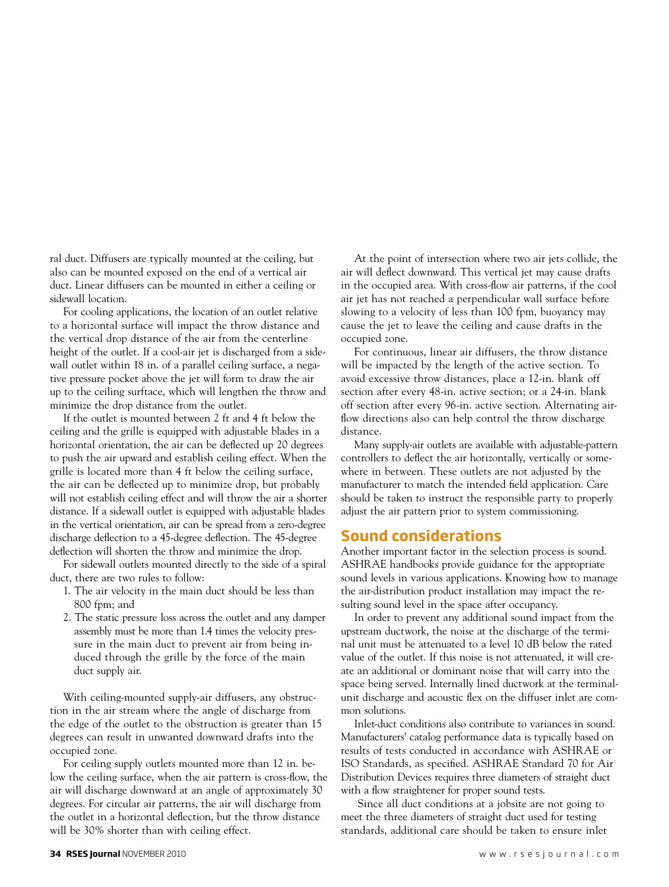ral duct. Diffusers are typically mounted at the ceiling, but also can be mounted exposed on the end of a vertical air duct. Linear diffusers can be mounted in either a ceiling or sidewall location.

For cooling applications, the location of an outlet relative to a horizontal surface will impact the throw distance and the vertical drop distance of the air from the centerline height of the outlet. If a cool-air jet is discharged from a sidewall outlet within 18 in. of a parallel ceiling surface, a negative pressure pocket above the jet will form to draw the air up to the ceiling surftace, which will lengthen the throw and minimize the drop distance from the outlet.

If the outlet is mounted between 2 ft and 4 ft below the ceiling and the grille is equipped with adjustable blades in a horizontal orientation, the air can be deflected up 20 degrees to push the air upward and establish ceiling effect. When the grille is located more than 4 ft below the ceiling surface, the air can be deflected up to minimize drop, but probably will not establish ceiling effect and will throw the air a shorter distance. If a sidewall outlet is equipped with adjustable blades in the vertical orientation, air can be spread from a zero-degree discharge deflection to a 45-degree deflection. The 45-degree deflection will shorten the throw and minimize the drop.

For sidewall outlets mounted directly to the side of a spiral duct, there are two rules to follow:

- 1. The air velocity in the main duct should be less than 800 fpm; and
- 2. The static pressure loss across the outlet and any damper assembly must be more than 1.4 times the velocity pres sure in the main duct to prevent air from being in duced through the grille by the force of the main duct supply air.

With ceiling-mounted supply-air diffusers, any obstruction in the air stream where the angle of discharge from the edge of the outlet to the obstruction is greater than 15 degrees can result in unwanted downward drafts into the occupied zone.

For ceiling supply outlets mounted more than 12 in. below the ceiling surface, when the air pattern is cross-flow, the air will discharge downward at an angle of approximately 30 degrees. For circular air patterns, the air will discharge from the outlet in a horizontal deflection, but the throw distance will be 30% shorter than with ceiling effect.

At the point of intersection where two air jets collide, the air will deflect downward. This vertical jet may cause drafts in the occupied area. With cross-flow air patterns, if the cool air jet has not reached a perpendicular wall surface before slowing to a velocity of less than 100 fpm, buoyancy may cause the jet to leave the ceiling and cause drafts in the occupied zone.

For continuous, linear air diffusers, the throw distance will be impacted by the length of the active section. To avoid excessive throw distances, place a 12-in. blank off section after every 48-in. active section; or a 24-in. blank off section after every 96-in. active section. Alternating airflow directions also can help control the throw discharge distance.

Many supply-air outlets are available with adjustable-pattern controllers to deflect the air horizontally, vertically or somewhere in between. These outlets are not adjusted by the manufacturer to match the intended field application. Care should be taken to instruct the responsible party to properly adjust the air pattern prior to system commissioning.

## **Sound considerations**

Another important factor in the selection process is sound. ASHRAE handbooks provide guidance for the appropriate sound levels in various applications. Knowing how to manage the air-distribution product installation may impact the resulting sound level in the space after occupancy.

In order to prevent any additional sound impact from the upstream ductwork, the noise at the discharge of the terminal unit must be attenuated to a level 10 dB below the rated value of the outlet. If this noise is not attenuated, it will create an additional or dominant noise that will carry into the space being served. Internally lined ductwork at the terminalunit discharge and acoustic flex on the diffuser inlet are common solutions.

Inlet-duct conditions also contribute to variances in sound. Manufacturers' catalog performance data is typically based on results of tests conducted in accordance with ASHRAE or ISO Standards, as specified. ASHRAE Standard 70 for Air Distribution Devices requires three diameters of straight duct with a flow straightener for proper sound tests.

 Since all duct conditions at a jobsite are not going to meet the three diameters of straight duct used for testing standards, additional care should be taken to ensure inlet